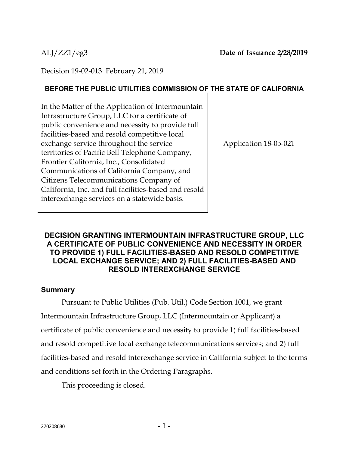Decision 19-02-013 February 21, 2019

# **BEFORE THE PUBLIC UTILITIES COMMISSION OF THE STATE OF CALIFORNIA**

In the Matter of the Application of Intermountain Infrastructure Group, LLC for a certificate of public convenience and necessity to provide full facilities-based and resold competitive local exchange service throughout the service territories of Pacific Bell Telephone Company, Frontier California, Inc., Consolidated Communications of California Company, and Citizens Telecommunications Company of California, Inc. and full facilities-based and resold interexchange services on a statewide basis.

Application 18-05-021

## **DECISION GRANTING INTERMOUNTAIN INFRASTRUCTURE GROUP, LLC A CERTIFICATE OF PUBLIC CONVENIENCE AND NECESSITY IN ORDER TO PROVIDE 1) FULL FACILITIES-BASED AND RESOLD COMPETITIVE LOCAL EXCHANGE SERVICE; AND 2) FULL FACILITIES-BASED AND RESOLD INTEREXCHANGE SERVICE**

## **Summary**

Pursuant to Public Utilities (Pub. Util.) Code Section 1001, we grant Intermountain Infrastructure Group, LLC (Intermountain or Applicant) a certificate of public convenience and necessity to provide 1) full facilities-based and resold competitive local exchange telecommunications services; and 2) full facilities-based and resold interexchange service in California subject to the terms and conditions set forth in the Ordering Paragraphs.

This proceeding is closed.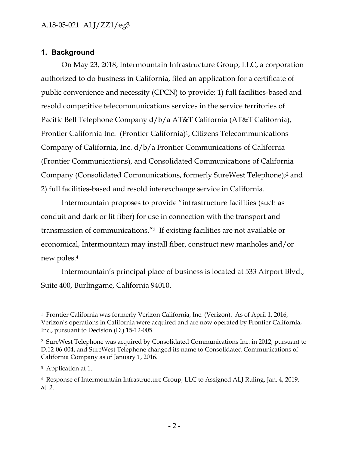# **1. Background**

On May 23, 2018, Intermountain Infrastructure Group, LLC**,** a corporation authorized to do business in California, filed an application for a certificate of public convenience and necessity (CPCN) to provide: 1) full facilities-based and resold competitive telecommunications services in the service territories of Pacific Bell Telephone Company d/b/a AT&T California (AT&T California), Frontier California Inc. (Frontier California)1, Citizens Telecommunications Company of California, Inc. d/b/a Frontier Communications of California (Frontier Communications), and Consolidated Communications of California Company (Consolidated Communications, formerly SureWest Telephone);<sup>2</sup> and 2) full facilities-based and resold interexchange service in California.

Intermountain proposes to provide "infrastructure facilities (such as conduit and dark or lit fiber) for use in connection with the transport and transmission of communications."3 If existing facilities are not available or economical, Intermountain may install fiber, construct new manholes and/or new poles.<sup>4</sup>

Intermountain's principal place of business is located at 533 Airport Blvd., Suite 400, Burlingame, California 94010.

<sup>1</sup> Frontier California was formerly Verizon California, Inc. (Verizon). As of April 1, 2016, Verizon's operations in California were acquired and are now operated by Frontier California, Inc., pursuant to Decision (D.) 15-12-005.

<sup>2</sup> SureWest Telephone was acquired by Consolidated Communications Inc. in 2012, pursuant to D.12-06-004, and SureWest Telephone changed its name to Consolidated Communications of California Company as of January 1, 2016.

<sup>3</sup> Application at 1.

<sup>4</sup> Response of Intermountain Infrastructure Group, LLC to Assigned ALJ Ruling, Jan. 4, 2019, at 2.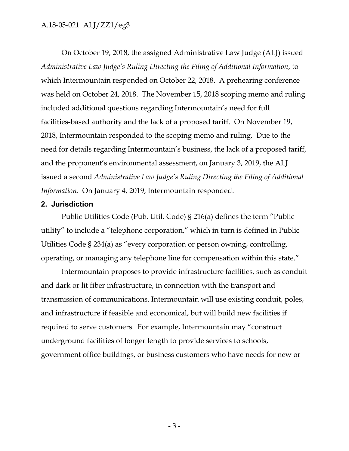On October 19, 2018, the assigned Administrative Law Judge (ALJ) issued *Administrative Law Judge's Ruling Directing the Filing of Additional Information*, to which Intermountain responded on October 22, 2018. A prehearing conference was held on October 24, 2018. The November 15, 2018 scoping memo and ruling included additional questions regarding Intermountain's need for full facilities-based authority and the lack of a proposed tariff. On November 19, 2018, Intermountain responded to the scoping memo and ruling. Due to the need for details regarding Intermountain's business, the lack of a proposed tariff, and the proponent's environmental assessment, on January 3, 2019, the ALJ issued a second *Administrative Law Judge's Ruling Directing the Filing of Additional Information*. On January 4, 2019, Intermountain responded.

#### **2. Jurisdiction**

Public Utilities Code (Pub. Util. Code) § 216(a) defines the term "Public utility" to include a "telephone corporation," which in turn is defined in Public Utilities Code § 234(a) as "every corporation or person owning, controlling, operating, or managing any telephone line for compensation within this state."

Intermountain proposes to provide infrastructure facilities, such as conduit and dark or lit fiber infrastructure, in connection with the transport and transmission of communications. Intermountain will use existing conduit, poles, and infrastructure if feasible and economical, but will build new facilities if required to serve customers. For example, Intermountain may "construct underground facilities of longer length to provide services to schools, government office buildings, or business customers who have needs for new or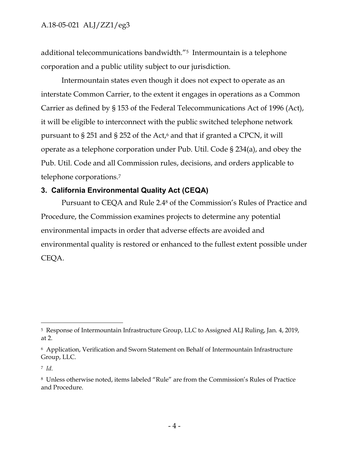additional telecommunications bandwidth."5 Intermountain is a telephone corporation and a public utility subject to our jurisdiction.

Intermountain states even though it does not expect to operate as an interstate Common Carrier, to the extent it engages in operations as a Common Carrier as defined by § 153 of the Federal Telecommunications Act of 1996 (Act), it will be eligible to interconnect with the public switched telephone network pursuant to  $\S 251$  and  $\S 252$  of the Act,<sup>6</sup> and that if granted a CPCN, it will operate as a telephone corporation under Pub. Util. Code § 234(a), and obey the Pub. Util. Code and all Commission rules, decisions, and orders applicable to telephone corporations.<sup>7</sup>

## **3. California Environmental Quality Act (CEQA)**

Pursuant to CEQA and Rule 2.4<sup>8</sup> of the Commission's Rules of Practice and Procedure, the Commission examines projects to determine any potential environmental impacts in order that adverse effects are avoided and environmental quality is restored or enhanced to the fullest extent possible under CEQA.

<sup>5</sup> Response of Intermountain Infrastructure Group, LLC to Assigned ALJ Ruling, Jan. 4, 2019, at 2.

<sup>6</sup> Application, Verification and Sworn Statement on Behalf of Intermountain Infrastructure Group, LLC.

<sup>7</sup> *Id.*

<sup>8</sup> Unless otherwise noted, items labeled "Rule" are from the Commission's Rules of Practice and Procedure.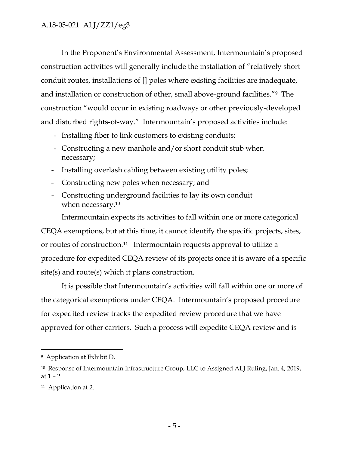In the Proponent's Environmental Assessment, Intermountain's proposed construction activities will generally include the installation of "relatively short conduit routes, installations of [] poles where existing facilities are inadequate, and installation or construction of other, small above-ground facilities."9 The construction "would occur in existing roadways or other previously-developed and disturbed rights-of-way." Intermountain's proposed activities include:

- Installing fiber to link customers to existing conduits;
- Constructing a new manhole and/or short conduit stub when necessary;
- Installing overlash cabling between existing utility poles;
- Constructing new poles when necessary; and
- Constructing underground facilities to lay its own conduit when necessary.<sup>10</sup>

Intermountain expects its activities to fall within one or more categorical CEQA exemptions, but at this time, it cannot identify the specific projects, sites, or routes of construction.11 Intermountain requests approval to utilize a procedure for expedited CEQA review of its projects once it is aware of a specific site(s) and route(s) which it plans construction.

It is possible that Intermountain's activities will fall within one or more of the categorical exemptions under CEQA. Intermountain's proposed procedure for expedited review tracks the expedited review procedure that we have approved for other carriers. Such a process will expedite CEQA review and is

<sup>9</sup> Application at Exhibit D.

<sup>&</sup>lt;sup>10</sup> Response of Intermountain Infrastructure Group, LLC to Assigned ALJ Ruling, Jan. 4, 2019, at  $1 - 2$ .

<sup>11</sup> Application at 2.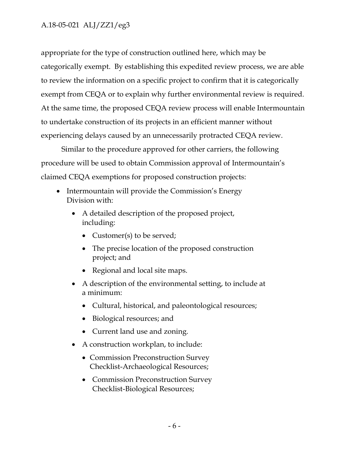appropriate for the type of construction outlined here, which may be categorically exempt. By establishing this expedited review process, we are able to review the information on a specific project to confirm that it is categorically exempt from CEQA or to explain why further environmental review is required. At the same time, the proposed CEQA review process will enable Intermountain to undertake construction of its projects in an efficient manner without experiencing delays caused by an unnecessarily protracted CEQA review.

Similar to the procedure approved for other carriers, the following procedure will be used to obtain Commission approval of Intermountain's claimed CEQA exemptions for proposed construction projects:

- Intermountain will provide the Commission's Energy Division with:
	- A detailed description of the proposed project, including:
		- Customer(s) to be served;
		- The precise location of the proposed construction project; and
		- Regional and local site maps.
	- A description of the environmental setting, to include at a minimum:
		- Cultural, historical, and paleontological resources;
		- Biological resources; and
		- Current land use and zoning.
	- A construction workplan, to include:
		- Commission Preconstruction Survey Checklist-Archaeological Resources;
		- Commission Preconstruction Survey Checklist-Biological Resources;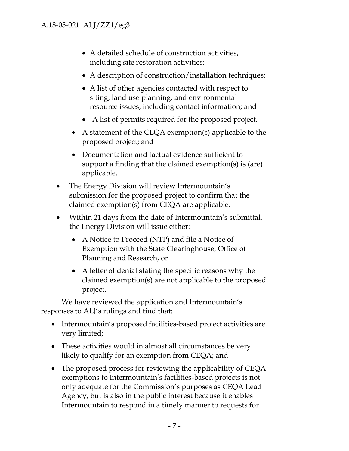- A detailed schedule of construction activities, including site restoration activities;
- A description of construction/installation techniques;
- A list of other agencies contacted with respect to siting, land use planning, and environmental resource issues, including contact information; and
- A list of permits required for the proposed project.
- A statement of the CEQA exemption(s) applicable to the proposed project; and
- Documentation and factual evidence sufficient to support a finding that the claimed exemption(s) is (are) applicable.
- The Energy Division will review Intermountain's submission for the proposed project to confirm that the claimed exemption(s) from CEQA are applicable.
- Within 21 days from the date of Intermountain's submittal, the Energy Division will issue either:
	- A Notice to Proceed (NTP) and file a Notice of Exemption with the State Clearinghouse, Office of Planning and Research, or
	- A letter of denial stating the specific reasons why the claimed exemption(s) are not applicable to the proposed project.

We have reviewed the application and Intermountain's responses to ALJ's rulings and find that:

- Intermountain's proposed facilities-based project activities are very limited;
- These activities would in almost all circumstances be very likely to qualify for an exemption from CEQA; and
- The proposed process for reviewing the applicability of CEQA exemptions to Intermountain's facilities-based projects is not only adequate for the Commission's purposes as CEQA Lead Agency, but is also in the public interest because it enables Intermountain to respond in a timely manner to requests for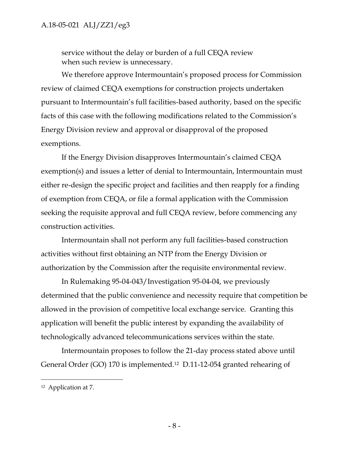service without the delay or burden of a full CEQA review when such review is unnecessary.

We therefore approve Intermountain's proposed process for Commission review of claimed CEQA exemptions for construction projects undertaken pursuant to Intermountain's full facilities-based authority, based on the specific facts of this case with the following modifications related to the Commission's Energy Division review and approval or disapproval of the proposed exemptions.

If the Energy Division disapproves Intermountain's claimed CEQA exemption(s) and issues a letter of denial to Intermountain, Intermountain must either re-design the specific project and facilities and then reapply for a finding of exemption from CEQA, or file a formal application with the Commission seeking the requisite approval and full CEQA review, before commencing any construction activities.

Intermountain shall not perform any full facilities-based construction activities without first obtaining an NTP from the Energy Division or authorization by the Commission after the requisite environmental review.

In Rulemaking 95-04-043/Investigation 95-04-04, we previously determined that the public convenience and necessity require that competition be allowed in the provision of competitive local exchange service. Granting this application will benefit the public interest by expanding the availability of technologically advanced telecommunications services within the state.

Intermountain proposes to follow the 21-day process stated above until General Order (GO) 170 is implemented.12 D.11-12-054 granted rehearing of

<sup>12</sup> Application at 7.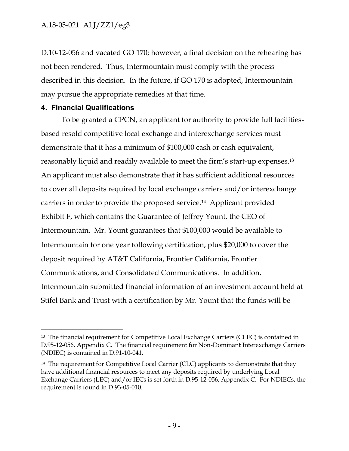D.10-12-056 and vacated GO 170; however, a final decision on the rehearing has not been rendered. Thus, Intermountain must comply with the process described in this decision. In the future, if GO 170 is adopted, Intermountain may pursue the appropriate remedies at that time.

## **4. Financial Qualifications**

 $\overline{a}$ 

To be granted a CPCN, an applicant for authority to provide full facilitiesbased resold competitive local exchange and interexchange services must demonstrate that it has a minimum of \$100,000 cash or cash equivalent, reasonably liquid and readily available to meet the firm's start-up expenses.<sup>13</sup> An applicant must also demonstrate that it has sufficient additional resources to cover all deposits required by local exchange carriers and/or interexchange carriers in order to provide the proposed service.14 Applicant provided Exhibit F, which contains the Guarantee of Jeffrey Yount, the CEO of Intermountain. Mr. Yount guarantees that \$100,000 would be available to Intermountain for one year following certification, plus \$20,000 to cover the deposit required by AT&T California, Frontier California, Frontier Communications, and Consolidated Communications. In addition, Intermountain submitted financial information of an investment account held at Stifel Bank and Trust with a certification by Mr. Yount that the funds will be

<sup>13</sup> The financial requirement for Competitive Local Exchange Carriers (CLEC) is contained in D.95-12-056, Appendix C. The financial requirement for Non-Dominant Interexchange Carriers (NDIEC) is contained in D.91-10-041.

<sup>&</sup>lt;sup>14</sup> The requirement for Competitive Local Carrier (CLC) applicants to demonstrate that they have additional financial resources to meet any deposits required by underlying Local Exchange Carriers (LEC) and/or IECs is set forth in D.95-12-056, Appendix C. For NDIECs, the requirement is found in D.93-05-010.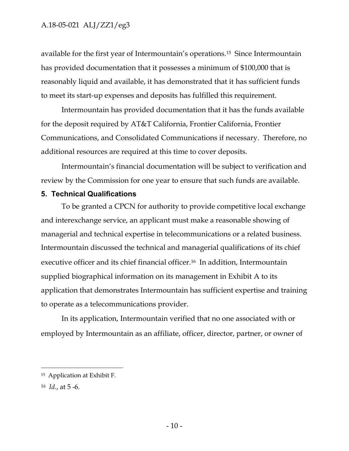available for the first year of Intermountain's operations.15 Since Intermountain has provided documentation that it possesses a minimum of \$100,000 that is reasonably liquid and available, it has demonstrated that it has sufficient funds to meet its start-up expenses and deposits has fulfilled this requirement.

Intermountain has provided documentation that it has the funds available for the deposit required by AT&T California, Frontier California, Frontier Communications, and Consolidated Communications if necessary. Therefore, no additional resources are required at this time to cover deposits.

Intermountain's financial documentation will be subject to verification and review by the Commission for one year to ensure that such funds are available.

#### **5. Technical Qualifications**

To be granted a CPCN for authority to provide competitive local exchange and interexchange service, an applicant must make a reasonable showing of managerial and technical expertise in telecommunications or a related business. Intermountain discussed the technical and managerial qualifications of its chief executive officer and its chief financial officer.<sup>16</sup> In addition, Intermountain supplied biographical information on its management in Exhibit A to its application that demonstrates Intermountain has sufficient expertise and training to operate as a telecommunications provider.

In its application, Intermountain verified that no one associated with or employed by Intermountain as an affiliate, officer, director, partner, or owner of

<sup>15</sup> Application at Exhibit F.

<sup>16</sup> *Id.*, at 5 -6.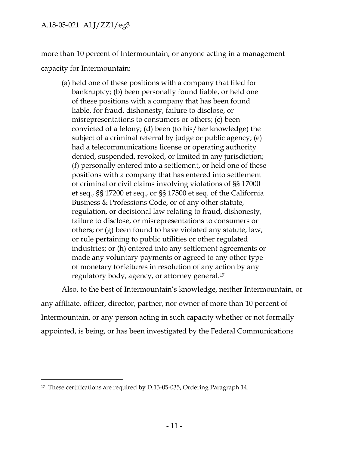more than 10 percent of Intermountain, or anyone acting in a management capacity for Intermountain:

(a) held one of these positions with a company that filed for bankruptcy; (b) been personally found liable, or held one of these positions with a company that has been found liable, for fraud, dishonesty, failure to disclose, or misrepresentations to consumers or others; (c) been convicted of a felony; (d) been (to his/her knowledge) the subject of a criminal referral by judge or public agency; (e) had a telecommunications license or operating authority denied, suspended, revoked, or limited in any jurisdiction; (f) personally entered into a settlement, or held one of these positions with a company that has entered into settlement of criminal or civil claims involving violations of §§ 17000 et seq., §§ 17200 et seq., or §§ 17500 et seq. of the California Business & Professions Code, or of any other statute, regulation, or decisional law relating to fraud, dishonesty, failure to disclose, or misrepresentations to consumers or others; or (g) been found to have violated any statute, law, or rule pertaining to public utilities or other regulated industries; or (h) entered into any settlement agreements or made any voluntary payments or agreed to any other type of monetary forfeitures in resolution of any action by any regulatory body, agency, or attorney general.<sup>17</sup>

Also, to the best of Intermountain's knowledge, neither Intermountain, or any affiliate, officer, director, partner, nor owner of more than 10 percent of Intermountain, or any person acting in such capacity whether or not formally appointed, is being, or has been investigated by the Federal Communications

<sup>17</sup> These certifications are required by D.13-05-035, Ordering Paragraph 14.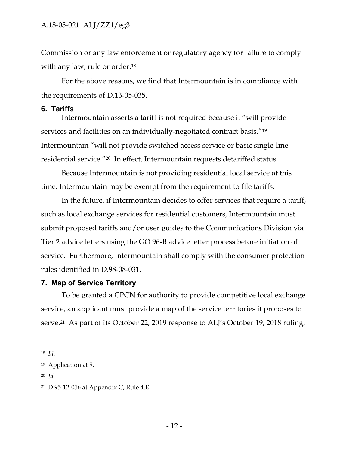Commission or any law enforcement or regulatory agency for failure to comply with any law, rule or order.<sup>18</sup>

For the above reasons, we find that Intermountain is in compliance with the requirements of D.13-05-035.

#### **6. Tariffs**

Intermountain asserts a tariff is not required because it "will provide services and facilities on an individually-negotiated contract basis."<sup>19</sup> Intermountain "will not provide switched access service or basic single-line residential service."20 In effect, Intermountain requests detariffed status.

Because Intermountain is not providing residential local service at this time, Intermountain may be exempt from the requirement to file tariffs.

In the future, if Intermountain decides to offer services that require a tariff, such as local exchange services for residential customers, Intermountain must submit proposed tariffs and/or user guides to the Communications Division via Tier 2 advice letters using the GO 96-B advice letter process before initiation of service. Furthermore, Intermountain shall comply with the consumer protection rules identified in D.98-08-031.

#### **7. Map of Service Territory**

To be granted a CPCN for authority to provide competitive local exchange service, an applicant must provide a map of the service territories it proposes to serve.<sup>21</sup> As part of its October 22, 2019 response to ALJ's October 19, 2018 ruling,

<sup>18</sup> *Id*.

<sup>19</sup> Application at 9.

<sup>20</sup> *Id.*

<sup>21</sup> D.95-12-056 at Appendix C, Rule 4.E.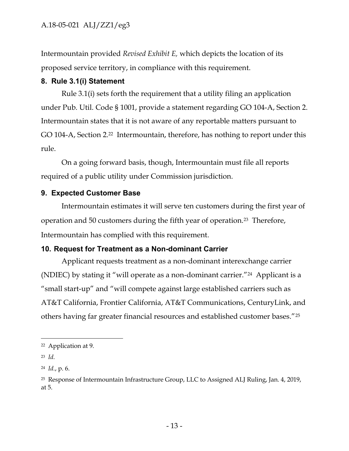Intermountain provided *Revised Exhibit E,* which depicts the location of its proposed service territory, in compliance with this requirement.

## **8. Rule 3.1(i) Statement**

Rule 3.1(i) sets forth the requirement that a utility filing an application under Pub. Util. Code § 1001, provide a statement regarding GO 104-A, Section 2. Intermountain states that it is not aware of any reportable matters pursuant to GO 104-A, Section 2.<sup>22</sup> Intermountain, therefore, has nothing to report under this rule.

On a going forward basis, though, Intermountain must file all reports required of a public utility under Commission jurisdiction.

# **9. Expected Customer Base**

Intermountain estimates it will serve ten customers during the first year of operation and 50 customers during the fifth year of operation.23 Therefore, Intermountain has complied with this requirement.

# **10. Request for Treatment as a Non-dominant Carrier**

Applicant requests treatment as a non-dominant interexchange carrier (NDIEC) by stating it "will operate as a non-dominant carrier."24 Applicant is a "small start-up" and "will compete against large established carriers such as AT&T California, Frontier California, AT&T Communications, CenturyLink, and others having far greater financial resources and established customer bases."<sup>25</sup>

<sup>22</sup> Application at 9.

<sup>23</sup> *Id.*

<sup>24</sup> *Id.*, p. 6.

<sup>25</sup> Response of Intermountain Infrastructure Group, LLC to Assigned ALJ Ruling, Jan. 4, 2019, at 5.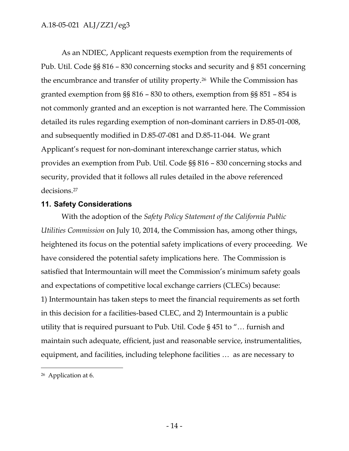As an NDIEC, Applicant requests exemption from the requirements of Pub. Util. Code §§ 816 – 830 concerning stocks and security and § 851 concerning the encumbrance and transfer of utility property.26 While the Commission has granted exemption from §§ 816 – 830 to others, exemption from §§ 851 – 854 is not commonly granted and an exception is not warranted here. The Commission detailed its rules regarding exemption of non-dominant carriers in D.85-01-008, and subsequently modified in D.85-07-081 and D.85-11-044. We grant Applicant's request for non-dominant interexchange carrier status, which provides an exemption from Pub. Util. Code §§ 816 – 830 concerning stocks and security, provided that it follows all rules detailed in the above referenced decisions.<sup>27</sup>

## **11. Safety Considerations**

With the adoption of the *Safety Policy Statement of the California Public Utilities Commission* on July 10, 2014, the Commission has, among other things, heightened its focus on the potential safety implications of every proceeding. We have considered the potential safety implications here. The Commission is satisfied that Intermountain will meet the Commission's minimum safety goals and expectations of competitive local exchange carriers (CLECs) because: 1) Intermountain has taken steps to meet the financial requirements as set forth in this decision for a facilities-based CLEC, and 2) Intermountain is a public utility that is required pursuant to Pub. Util. Code § 451 to "… furnish and maintain such adequate, efficient, just and reasonable service, instrumentalities, equipment, and facilities, including telephone facilities … as are necessary to

<sup>26</sup> Application at 6.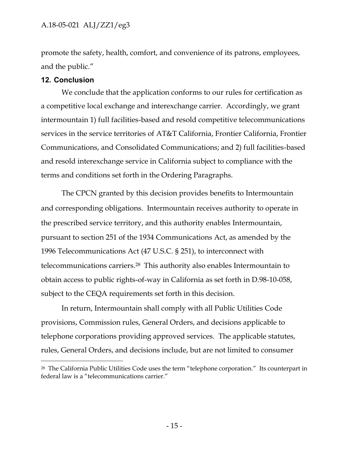promote the safety, health, comfort, and convenience of its patrons, employees, and the public."

#### **12. Conclusion**

 $\overline{a}$ 

We conclude that the application conforms to our rules for certification as a competitive local exchange and interexchange carrier. Accordingly, we grant intermountain 1) full facilities-based and resold competitive telecommunications services in the service territories of AT&T California, Frontier California, Frontier Communications, and Consolidated Communications; and 2) full facilities-based and resold interexchange service in California subject to compliance with the terms and conditions set forth in the Ordering Paragraphs.

The CPCN granted by this decision provides benefits to Intermountain and corresponding obligations. Intermountain receives authority to operate in the prescribed service territory, and this authority enables Intermountain, pursuant to section 251 of the 1934 Communications Act, as amended by the 1996 Telecommunications Act (47 U.S.C. § 251), to interconnect with telecommunications carriers.<sup>28</sup> This authority also enables Intermountain to obtain access to public rights-of-way in California as set forth in D.98-10-058, subject to the CEQA requirements set forth in this decision.

In return, Intermountain shall comply with all Public Utilities Code provisions, Commission rules, General Orders, and decisions applicable to telephone corporations providing approved services. The applicable statutes, rules, General Orders, and decisions include, but are not limited to consumer

<sup>&</sup>lt;sup>28</sup> The California Public Utilities Code uses the term "telephone corporation." Its counterpart in federal law is a "telecommunications carrier."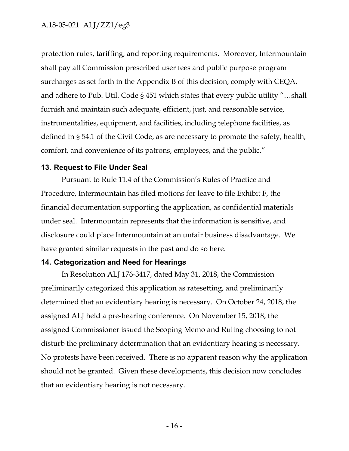protection rules, tariffing, and reporting requirements. Moreover, Intermountain shall pay all Commission prescribed user fees and public purpose program surcharges as set forth in the Appendix B of this decision, comply with CEQA, and adhere to Pub. Util. Code § 451 which states that every public utility "…shall furnish and maintain such adequate, efficient, just, and reasonable service, instrumentalities, equipment, and facilities, including telephone facilities, as defined in § 54.1 of the Civil Code, as are necessary to promote the safety, health, comfort, and convenience of its patrons, employees, and the public."

#### **13. Request to File Under Seal**

Pursuant to Rule 11.4 of the Commission's Rules of Practice and Procedure, Intermountain has filed motions for leave to file Exhibit F, the financial documentation supporting the application, as confidential materials under seal. Intermountain represents that the information is sensitive, and disclosure could place Intermountain at an unfair business disadvantage. We have granted similar requests in the past and do so here.

#### **14. Categorization and Need for Hearings**

In Resolution ALJ 176-3417, dated May 31, 2018, the Commission preliminarily categorized this application as ratesetting, and preliminarily determined that an evidentiary hearing is necessary. On October 24, 2018, the assigned ALJ held a pre-hearing conference. On November 15, 2018, the assigned Commissioner issued the Scoping Memo and Ruling choosing to not disturb the preliminary determination that an evidentiary hearing is necessary. No protests have been received. There is no apparent reason why the application should not be granted. Given these developments, this decision now concludes that an evidentiary hearing is not necessary.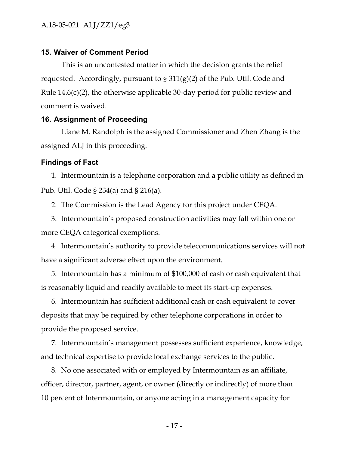## **15. Waiver of Comment Period**

This is an uncontested matter in which the decision grants the relief requested. Accordingly, pursuant to  $\S 311(g)(2)$  of the Pub. Util. Code and Rule 14.6(c)(2), the otherwise applicable 30-day period for public review and comment is waived.

#### **16. Assignment of Proceeding**

Liane M. Randolph is the assigned Commissioner and Zhen Zhang is the assigned ALJ in this proceeding.

#### **Findings of Fact**

1. Intermountain is a telephone corporation and a public utility as defined in Pub. Util. Code § 234(a) and § 216(a).

2. The Commission is the Lead Agency for this project under CEQA.

3. Intermountain's proposed construction activities may fall within one or more CEQA categorical exemptions.

4. Intermountain's authority to provide telecommunications services will not have a significant adverse effect upon the environment.

5. Intermountain has a minimum of \$100,000 of cash or cash equivalent that is reasonably liquid and readily available to meet its start-up expenses.

6. Intermountain has sufficient additional cash or cash equivalent to cover deposits that may be required by other telephone corporations in order to provide the proposed service.

7. Intermountain's management possesses sufficient experience, knowledge, and technical expertise to provide local exchange services to the public.

8. No one associated with or employed by Intermountain as an affiliate, officer, director, partner, agent, or owner (directly or indirectly) of more than 10 percent of Intermountain, or anyone acting in a management capacity for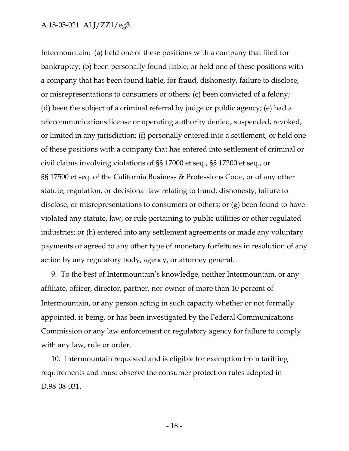Intermountain: (a) held one of these positions with a company that filed for bankruptcy; (b) been personally found liable, or held one of these positions with a company that has been found liable, for fraud, dishonesty, failure to disclose, or misrepresentations to consumers or others; (c) been convicted of a felony; (d) been the subject of a criminal referral by judge or public agency; (e) had a telecommunications license or operating authority denied, suspended, revoked, or limited in any jurisdiction; (f) personally entered into a settlement, or held one of these positions with a company that has entered into settlement of criminal or civil claims involving violations of §§ 17000 et seq., §§ 17200 et seq., or §§ 17500 et seq. of the California Business & Professions Code, or of any other statute, regulation, or decisional law relating to fraud, dishonesty, failure to disclose, or misrepresentations to consumers or others; or (g) been found to have violated any statute, law, or rule pertaining to public utilities or other regulated industries; or (h) entered into any settlement agreements or made any voluntary payments or agreed to any other type of monetary forfeitures in resolution of any action by any regulatory body, agency, or attorney general.

9. To the best of Intermountain's knowledge, neither Intermountain, or any affiliate, officer, director, partner, nor owner of more than 10 percent of Intermountain, or any person acting in such capacity whether or not formally appointed, is being, or has been investigated by the Federal Communications Commission or any law enforcement or regulatory agency for failure to comply with any law, rule or order.

10. Intermountain requested and is eligible for exemption from tariffing requirements and must observe the consumer protection rules adopted in D.98-08-031.

- 18 -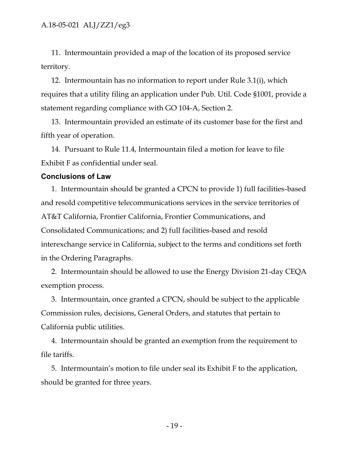11. Intermountain provided a map of the location of its proposed service territory.

12. Intermountain has no information to report under Rule 3.1(i), which requires that a utility filing an application under Pub. Util. Code §1001, provide a statement regarding compliance with GO 104-A, Section 2.

13. Intermountain provided an estimate of its customer base for the first and fifth year of operation.

14. Pursuant to Rule 11.4, Intermountain filed a motion for leave to file Exhibit F as confidential under seal*.*

#### **Conclusions of Law**

1. Intermountain should be granted a CPCN to provide 1) full facilities-based and resold competitive telecommunications services in the service territories of AT&T California, Frontier California, Frontier Communications, and Consolidated Communications; and 2) full facilities-based and resold interexchange service in California, subject to the terms and conditions set forth in the Ordering Paragraphs.

2. Intermountain should be allowed to use the Energy Division 21-day CEQA exemption process.

3. Intermountain, once granted a CPCN, should be subject to the applicable Commission rules, decisions, General Orders, and statutes that pertain to California public utilities.

4. Intermountain should be granted an exemption from the requirement to file tariffs.

5. Intermountain's motion to file under seal its Exhibit F to the application, should be granted for three years.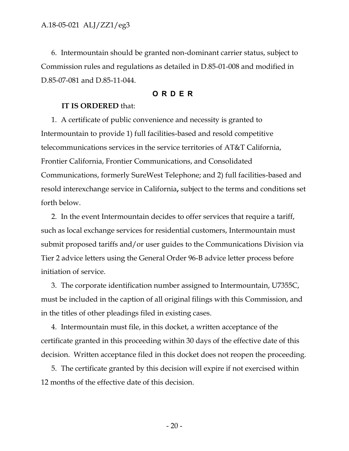6. Intermountain should be granted non-dominant carrier status, subject to Commission rules and regulations as detailed in D.85-01-008 and modified in D.85-07-081 and D.85-11-044.

## **ORDER**

## **IT IS ORDERED** that:

1. A certificate of public convenience and necessity is granted to Intermountain to provide 1) full facilities-based and resold competitive telecommunications services in the service territories of AT&T California, Frontier California, Frontier Communications, and Consolidated Communications, formerly SureWest Telephone; and 2) full facilities-based and resold interexchange service in California**,** subject to the terms and conditions set forth below.

2. In the event Intermountain decides to offer services that require a tariff, such as local exchange services for residential customers, Intermountain must submit proposed tariffs and/or user guides to the Communications Division via Tier 2 advice letters using the General Order 96-B advice letter process before initiation of service.

3. The corporate identification number assigned to Intermountain, U7355C, must be included in the caption of all original filings with this Commission, and in the titles of other pleadings filed in existing cases.

4. Intermountain must file, in this docket, a written acceptance of the certificate granted in this proceeding within 30 days of the effective date of this decision. Written acceptance filed in this docket does not reopen the proceeding.

5. The certificate granted by this decision will expire if not exercised within 12 months of the effective date of this decision.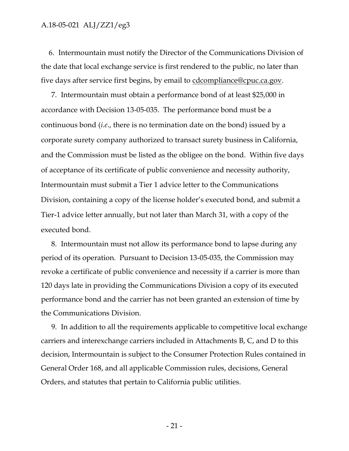6. Intermountain must notify the Director of the Communications Division of the date that local exchange service is first rendered to the public, no later than five days after service first begins, by email to [cdcompliance@cpuc.ca.gov.](mailto:cdcompliance@cpuc.ca.gov)

7. Intermountain must obtain a performance bond of at least \$25,000 in accordance with Decision 13-05-035. The performance bond must be a continuous bond (*i.e*., there is no termination date on the bond) issued by a corporate surety company authorized to transact surety business in California, and the Commission must be listed as the obligee on the bond. Within five days of acceptance of its certificate of public convenience and necessity authority, Intermountain must submit a Tier 1 advice letter to the Communications Division, containing a copy of the license holder's executed bond, and submit a Tier-1 advice letter annually, but not later than March 31, with a copy of the executed bond.

8. Intermountain must not allow its performance bond to lapse during any period of its operation. Pursuant to Decision 13-05-035, the Commission may revoke a certificate of public convenience and necessity if a carrier is more than 120 days late in providing the Communications Division a copy of its executed performance bond and the carrier has not been granted an extension of time by the Communications Division.

9. In addition to all the requirements applicable to competitive local exchange carriers and interexchange carriers included in Attachments B, C, and D to this decision, Intermountain is subject to the Consumer Protection Rules contained in General Order 168, and all applicable Commission rules, decisions, General Orders, and statutes that pertain to California public utilities.

- 21 -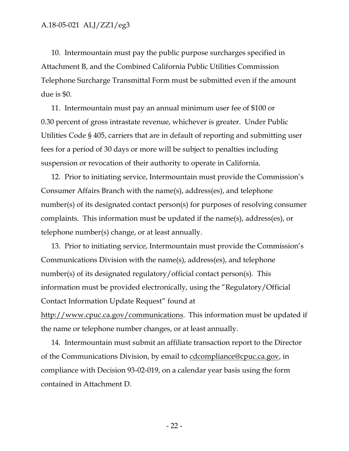10. Intermountain must pay the public purpose surcharges specified in Attachment B, and the Combined California Public Utilities Commission Telephone Surcharge Transmittal Form must be submitted even if the amount due is \$0.

11. Intermountain must pay an annual minimum user fee of \$100 or 0.30 percent of gross intrastate revenue, whichever is greater. Under Public Utilities Code § 405, carriers that are in default of reporting and submitting user fees for a period of 30 days or more will be subject to penalties including suspension or revocation of their authority to operate in California.

12. Prior to initiating service, Intermountain must provide the Commission's Consumer Affairs Branch with the name(s), address(es), and telephone number(s) of its designated contact person(s) for purposes of resolving consumer complaints. This information must be updated if the name(s), address(es), or telephone number(s) change, or at least annually.

13. Prior to initiating service, Intermountain must provide the Commission's Communications Division with the name(s), address(es), and telephone number(s) of its designated regulatory/official contact person(s). This information must be provided electronically, using the "Regulatory/Official Contact Information Update Request" found at [http://www.cpuc.ca.gov/communications.](http://www.cpuc.ca.gov/communications) This information must be updated if the name or telephone number changes, or at least annually.

14. Intermountain must submit an affiliate transaction report to the Director of the Communications Division, by email to [cdcompliance@cpuc.ca.gov,](mailto:cdcompliance@cpuc.ca.gov) in compliance with Decision 93-02-019, on a calendar year basis using the form contained in Attachment D.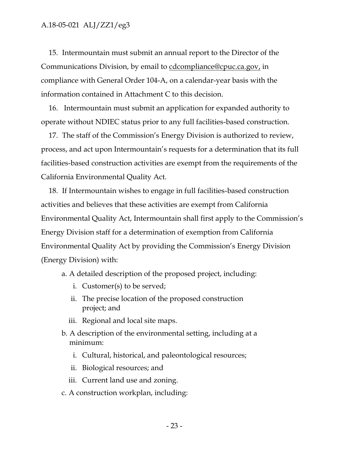15. Intermountain must submit an annual report to the Director of the Communications Division, by email to [cdcompliance@cpuc.ca.gov,](mailto:cdcompliance@cpuc.ca.gov) in compliance with General Order 104-A, on a calendar-year basis with the information contained in Attachment C to this decision.

16. Intermountain must submit an application for expanded authority to operate without NDIEC status prior to any full facilities-based construction.

17. The staff of the Commission's Energy Division is authorized to review, process, and act upon Intermountain's requests for a determination that its full facilities-based construction activities are exempt from the requirements of the California Environmental Quality Act.

18. If Intermountain wishes to engage in full facilities-based construction activities and believes that these activities are exempt from California Environmental Quality Act, Intermountain shall first apply to the Commission's Energy Division staff for a determination of exemption from California Environmental Quality Act by providing the Commission's Energy Division (Energy Division) with:

a. A detailed description of the proposed project, including:

- i. Customer(s) to be served;
- ii. The precise location of the proposed construction project; and
- iii. Regional and local site maps.
- b. A description of the environmental setting, including at a minimum:
	- i. Cultural, historical, and paleontological resources;
	- ii. Biological resources; and
	- iii. Current land use and zoning.
- c. A construction workplan, including: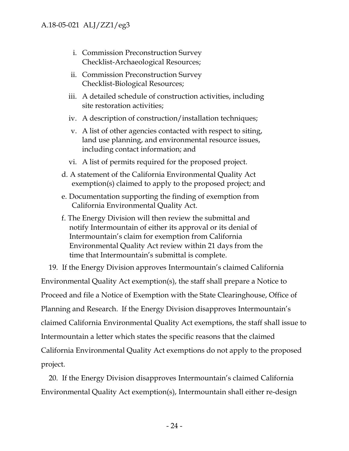- i. Commission Preconstruction Survey Checklist-Archaeological Resources;
- ii. Commission Preconstruction Survey Checklist-Biological Resources;
- iii. A detailed schedule of construction activities, including site restoration activities;
- iv. A description of construction/installation techniques;
- v. A list of other agencies contacted with respect to siting, land use planning, and environmental resource issues, including contact information; and
- vi. A list of permits required for the proposed project.
- d. A statement of the California Environmental Quality Act exemption(s) claimed to apply to the proposed project; and
- e. Documentation supporting the finding of exemption from California Environmental Quality Act.
- f. The Energy Division will then review the submittal and notify Intermountain of either its approval or its denial of Intermountain's claim for exemption from California Environmental Quality Act review within 21 days from the time that Intermountain's submittal is complete.

19. If the Energy Division approves Intermountain's claimed California Environmental Quality Act exemption(s), the staff shall prepare a Notice to Proceed and file a Notice of Exemption with the State Clearinghouse, Office of Planning and Research. If the Energy Division disapproves Intermountain's claimed California Environmental Quality Act exemptions, the staff shall issue to Intermountain a letter which states the specific reasons that the claimed California Environmental Quality Act exemptions do not apply to the proposed project.

20. If the Energy Division disapproves Intermountain's claimed California Environmental Quality Act exemption(s), Intermountain shall either re-design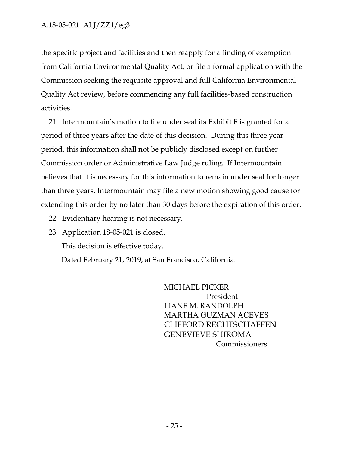the specific project and facilities and then reapply for a finding of exemption from California Environmental Quality Act, or file a formal application with the Commission seeking the requisite approval and full California Environmental Quality Act review, before commencing any full facilities-based construction activities.

21. Intermountain's motion to file under seal its Exhibit F is granted for a period of three years after the date of this decision. During this three year period, this information shall not be publicly disclosed except on further Commission order or Administrative Law Judge ruling. If Intermountain believes that it is necessary for this information to remain under seal for longer than three years, Intermountain may file a new motion showing good cause for extending this order by no later than 30 days before the expiration of this order.

22. Evidentiary hearing is not necessary.

23. Application 18-05-021 is closed.

This decision is effective today.

Dated February 21, 2019, at San Francisco, California.

MICHAEL PICKER President LIANE M. RANDOLPH MARTHA GUZMAN ACEVES CLIFFORD RECHTSCHAFFEN GENEVIEVE SHIROMA Commissioners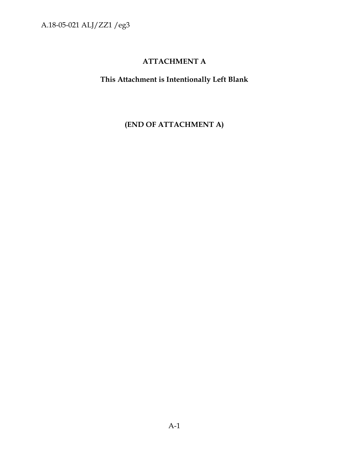# **ATTACHMENT A**

**This Attachment is Intentionally Left Blank**

**(END OF ATTACHMENT A)**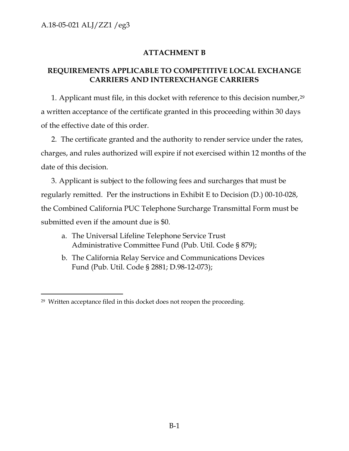# **ATTACHMENT B**

## **REQUIREMENTS APPLICABLE TO COMPETITIVE LOCAL EXCHANGE CARRIERS AND INTEREXCHANGE CARRIERS**

1. Applicant must file, in this docket with reference to this decision number,<sup>29</sup> a written acceptance of the certificate granted in this proceeding within 30 days of the effective date of this order.

2. The certificate granted and the authority to render service under the rates, charges, and rules authorized will expire if not exercised within 12 months of the date of this decision.

3. Applicant is subject to the following fees and surcharges that must be regularly remitted. Per the instructions in Exhibit E to Decision (D.) 00-10-028, the Combined California PUC Telephone Surcharge Transmittal Form must be submitted even if the amount due is \$0.

- a. The Universal Lifeline Telephone Service Trust Administrative Committee Fund (Pub. Util. Code § 879);
- b. The California Relay Service and Communications Devices Fund (Pub. Util. Code § 2881; D.98-12-073);

 $\overline{a}$ 29 Written acceptance filed in this docket does not reopen the proceeding.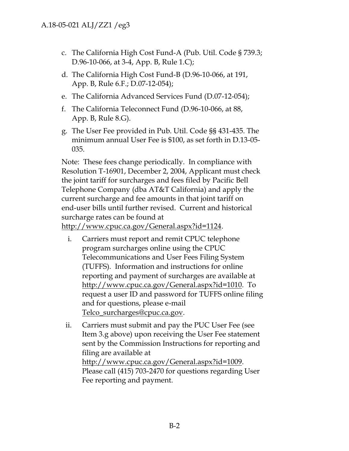- c. The California High Cost Fund-A (Pub. Util. Code § 739.3; D.96-10-066, at 3-4, App. B, Rule 1.C);
- d. The California High Cost Fund-B (D.96-10-066, at 191, App. B, Rule 6.F.; D.07-12-054);
- e. The California Advanced Services Fund (D.07-12-054);
- f. The California Teleconnect Fund (D.96-10-066, at 88, App. B, Rule 8.G).
- g. The User Fee provided in Pub. Util. Code §§ 431-435. The minimum annual User Fee is \$100, as set forth in D.13-05- 035.

Note: These fees change periodically. In compliance with Resolution T-16901, December 2, 2004, Applicant must check the joint tariff for surcharges and fees filed by Pacific Bell Telephone Company (dba AT&T California) and apply the current surcharge and fee amounts in that joint tariff on end-user bills until further revised. Current and historical surcharge rates can be found at [http://www.cpuc.ca.gov/General.aspx?id=1124.](http://www.cpuc.ca.gov/General.aspx?id=1124)

- i. Carriers must report and remit CPUC telephone program surcharges online using the CPUC Telecommunications and User Fees Filing System (TUFFS). Information and instructions for online reporting and payment of surcharges are available at [http://www.cpuc.ca.gov/General.aspx?id=1010.](http://www.cpuc.ca.gov/General.aspx?id=1010) To request a user ID and password for TUFFS online filing and for questions, please e-mail [Telco\\_surcharges@cpuc.ca.gov.](mailto:Telco_surcharges@cpuc.ca.gov)
- ii. Carriers must submit and pay the PUC User Fee (see Item 3.g above) upon receiving the User Fee statement sent by the Commission Instructions for reporting and filing are available at [http://www.cpuc.ca.gov/General.aspx?id=1009.](http://www.cpuc.ca.gov/General.aspx?id=1009) Please call (415) 703-2470 for questions regarding User Fee reporting and payment.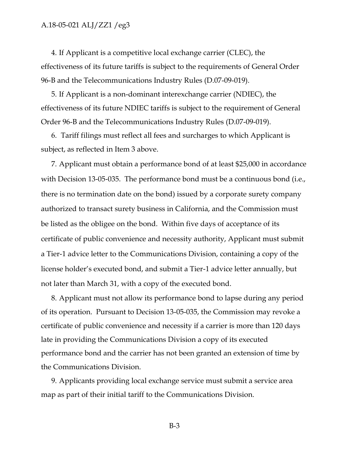4. If Applicant is a competitive local exchange carrier (CLEC), the effectiveness of its future tariffs is subject to the requirements of General Order 96-B and the Telecommunications Industry Rules (D.07-09-019).

5. If Applicant is a non-dominant interexchange carrier (NDIEC), the effectiveness of its future NDIEC tariffs is subject to the requirement of General Order 96-B and the Telecommunications Industry Rules (D.07-09-019).

6. Tariff filings must reflect all fees and surcharges to which Applicant is subject, as reflected in Item 3 above.

7. Applicant must obtain a performance bond of at least \$25,000 in accordance with Decision 13-05-035. The performance bond must be a continuous bond (i.e., there is no termination date on the bond) issued by a corporate surety company authorized to transact surety business in California, and the Commission must be listed as the obligee on the bond. Within five days of acceptance of its certificate of public convenience and necessity authority, Applicant must submit a Tier-1 advice letter to the Communications Division, containing a copy of the license holder's executed bond, and submit a Tier-1 advice letter annually, but not later than March 31, with a copy of the executed bond.

8. Applicant must not allow its performance bond to lapse during any period of its operation. Pursuant to Decision 13-05-035, the Commission may revoke a certificate of public convenience and necessity if a carrier is more than 120 days late in providing the Communications Division a copy of its executed performance bond and the carrier has not been granted an extension of time by the Communications Division.

9. Applicants providing local exchange service must submit a service area map as part of their initial tariff to the Communications Division.

B-3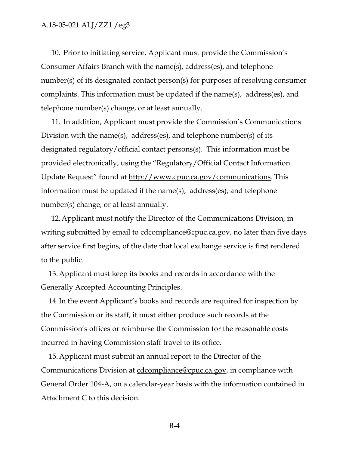10. Prior to initiating service, Applicant must provide the Commission's Consumer Affairs Branch with the name(s), address(es), and telephone number(s) of its designated contact person(s) for purposes of resolving consumer complaints. This information must be updated if the name(s), address(es), and telephone number(s) change, or at least annually.

11. In addition, Applicant must provide the Commission's Communications Division with the name(s), address(es), and telephone number(s) of its designated regulatory/official contact persons(s). This information must be provided electronically, using the "Regulatory/Official Contact Information Update Request" found at [http://www.cpuc.ca.gov/communications.](http://www.cpuc.ca.gov/communications) This information must be updated if the name(s), address(es), and telephone number(s) change, or at least annually.

12.Applicant must notify the Director of the Communications Division, in writing submitted by email to [cdcompliance@cpuc.ca.gov,](mailto:cdcompliance@cpuc.ca.gov) no later than five days after service first begins, of the date that local exchange service is first rendered to the public.

13.Applicant must keep its books and records in accordance with the Generally Accepted Accounting Principles.

14.In the event Applicant's books and records are required for inspection by the Commission or its staff, it must either produce such records at the Commission's offices or reimburse the Commission for the reasonable costs incurred in having Commission staff travel to its office.

15.Applicant must submit an annual report to the Director of the Communications Division at [cdcompliance@cpuc.ca.gov,](mailto:cdcompliance@cpuc.ca.gov) in compliance with General Order 104-A, on a calendar-year basis with the information contained in Attachment C to this decision.

B-4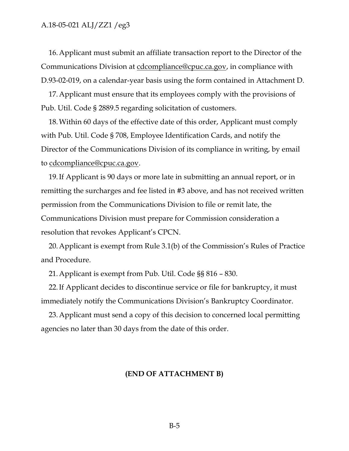16.Applicant must submit an affiliate transaction report to the Director of the Communications Division at [cdcompliance@cpuc.ca.gov,](mailto:cdcompliance@cpuc.ca.gov) in compliance with D.93-02-019, on a calendar-year basis using the form contained in Attachment D.

17.Applicant must ensure that its employees comply with the provisions of Pub. Util. Code § 2889.5 regarding solicitation of customers.

18.Within 60 days of the effective date of this order, Applicant must comply with Pub. Util. Code § 708, Employee Identification Cards, and notify the Director of the Communications Division of its compliance in writing, by email to [cdcompliance@cpuc.ca.gov.](mailto:cdcompliance@cpuc.ca.gov)

19.If Applicant is 90 days or more late in submitting an annual report, or in remitting the surcharges and fee listed in #3 above, and has not received written permission from the Communications Division to file or remit late, the Communications Division must prepare for Commission consideration a resolution that revokes Applicant's CPCN.

20.Applicant is exempt from Rule 3.1(b) of the Commission's Rules of Practice and Procedure.

21.Applicant is exempt from Pub. Util. Code §§ 816 – 830.

22.If Applicant decides to discontinue service or file for bankruptcy, it must immediately notify the Communications Division's Bankruptcy Coordinator.

23.Applicant must send a copy of this decision to concerned local permitting agencies no later than 30 days from the date of this order.

#### **(END OF ATTACHMENT B)**

B-5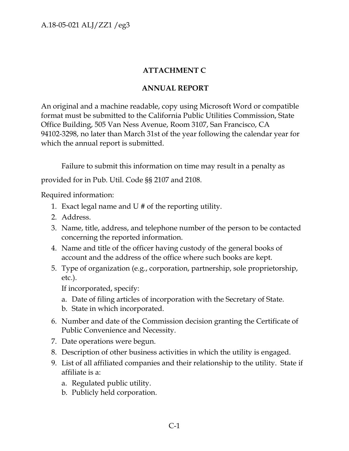# **ATTACHMENT C**

# **ANNUAL REPORT**

An original and a machine readable, copy using Microsoft Word or compatible format must be submitted to the California Public Utilities Commission, State Office Building, 505 Van Ness Avenue, Room 3107, San Francisco, CA 94102-3298, no later than March 31st of the year following the calendar year for which the annual report is submitted.

Failure to submit this information on time may result in a penalty as provided for in Pub. Util. Code §§ 2107 and 2108.

Required information:

- 1. Exact legal name and U # of the reporting utility.
- 2. Address.
- 3. Name, title, address, and telephone number of the person to be contacted concerning the reported information.
- 4. Name and title of the officer having custody of the general books of account and the address of the office where such books are kept.
- 5. Type of organization (e.g., corporation, partnership, sole proprietorship, etc.).

If incorporated, specify:

- a. Date of filing articles of incorporation with the Secretary of State.
- b. State in which incorporated.
- 6. Number and date of the Commission decision granting the Certificate of Public Convenience and Necessity.
- 7. Date operations were begun.
- 8. Description of other business activities in which the utility is engaged.
- 9. List of all affiliated companies and their relationship to the utility. State if affiliate is a:
	- a. Regulated public utility.
	- b. Publicly held corporation.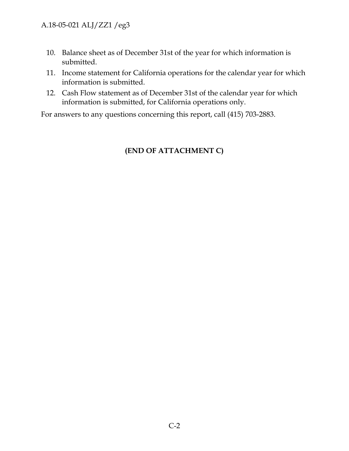- 10. Balance sheet as of December 31st of the year for which information is submitted.
- 11. Income statement for California operations for the calendar year for which information is submitted.
- 12. Cash Flow statement as of December 31st of the calendar year for which information is submitted, for California operations only.

For answers to any questions concerning this report, call (415) 703-2883.

# **(END OF ATTACHMENT C)**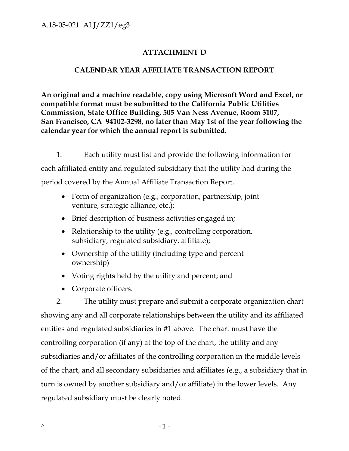# **ATTACHMENT D**

## **CALENDAR YEAR AFFILIATE TRANSACTION REPORT**

**An original and a machine readable, copy using Microsoft Word and Excel, or compatible format must be submitted to the California Public Utilities Commission, State Office Building, 505 Van Ness Avenue, Room 3107, San Francisco, CA 94102-3298, no later than May 1st of the year following the calendar year for which the annual report is submitted.**

1. Each utility must list and provide the following information for each affiliated entity and regulated subsidiary that the utility had during the period covered by the Annual Affiliate Transaction Report.

- Form of organization (e.g., corporation, partnership, joint venture, strategic alliance, etc.);
- Brief description of business activities engaged in;
- Relationship to the utility (e.g., controlling corporation, subsidiary, regulated subsidiary, affiliate);
- Ownership of the utility (including type and percent ownership)
- Voting rights held by the utility and percent; and
- Corporate officers.

2. The utility must prepare and submit a corporate organization chart showing any and all corporate relationships between the utility and its affiliated entities and regulated subsidiaries in #1 above. The chart must have the controlling corporation (if any) at the top of the chart, the utility and any subsidiaries and/or affiliates of the controlling corporation in the middle levels of the chart, and all secondary subsidiaries and affiliates (e.g., a subsidiary that in turn is owned by another subsidiary and/or affiliate) in the lower levels. Any regulated subsidiary must be clearly noted.